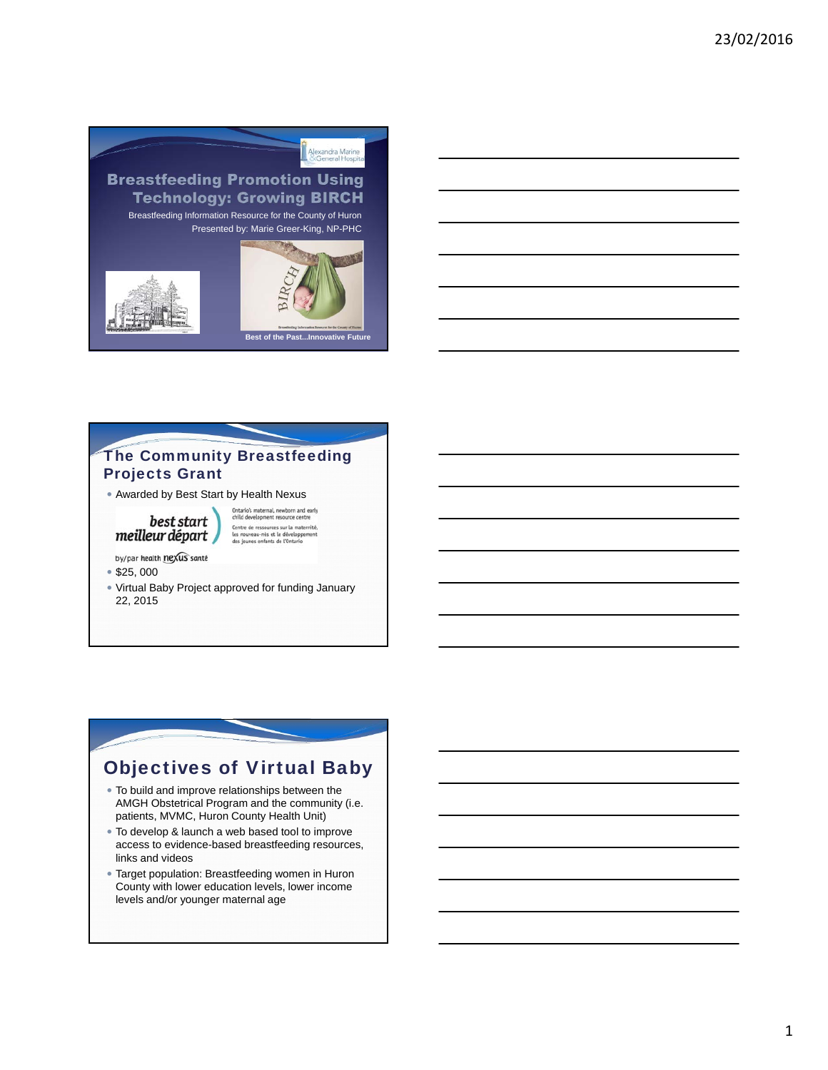

Presented by: Marie Greer-King, NP-PHC





### The Community Breastfeeding Projects Grant

Awarded by Best Start by Health Nexus

best start meilleur départ

Ontario's maternal, newborn and early<br>child development resource centre Centre de ressources sur la maternité,<br>les nouveau-nés et le développement<br>des jeunes enfants de l'Ontario

by/par health nexus santé \$25, 000

- 
- Virtual Baby Project approved for funding January 22, 2015

## Objectives of Virtual Baby

- To build and improve relationships between the AMGH Obstetrical Program and the community (i.e. patients, MVMC, Huron County Health Unit)
- To develop & launch a web based tool to improve access to evidence-based breastfeeding resources, links and videos
- Target population: Breastfeeding women in Huron County with lower education levels, lower income levels and/or younger maternal age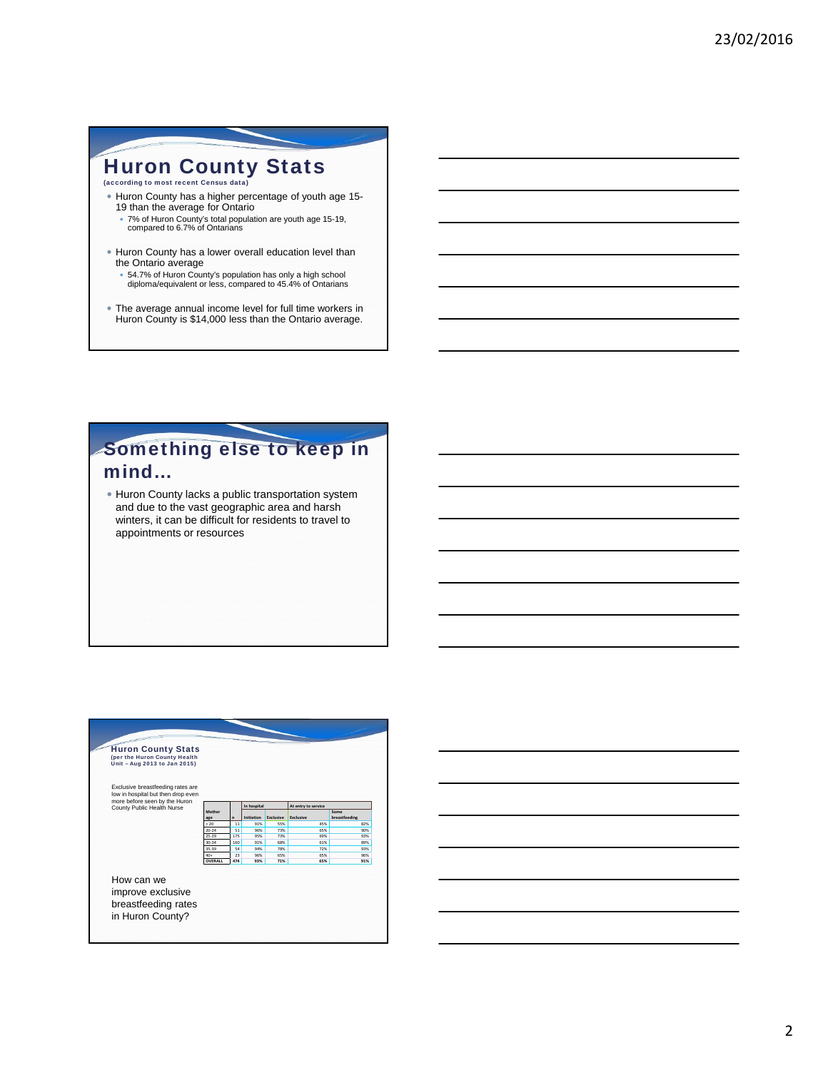# Huron County Stats

- Huron County has a higher percentage of youth age 15- 19 than the average for Ontario
	- 7% of Huron County's total population are youth age 15-19, compared to 6.7% of Ontarians
- Huron County has a lower overall education level than the Ontario average
	- 54.7% of Huron County's population has only a high school diploma/equivalent or less, compared to 45.4% of Ontarians
- The average annual income level for full time workers in Huron County is \$14,000 less than the Ontario average.

# Something else to keep in mind…

 Huron County lacks a public transportation system and due to the vast geographic area and harsh winters, it can be difficult for residents to travel to appointments or resources

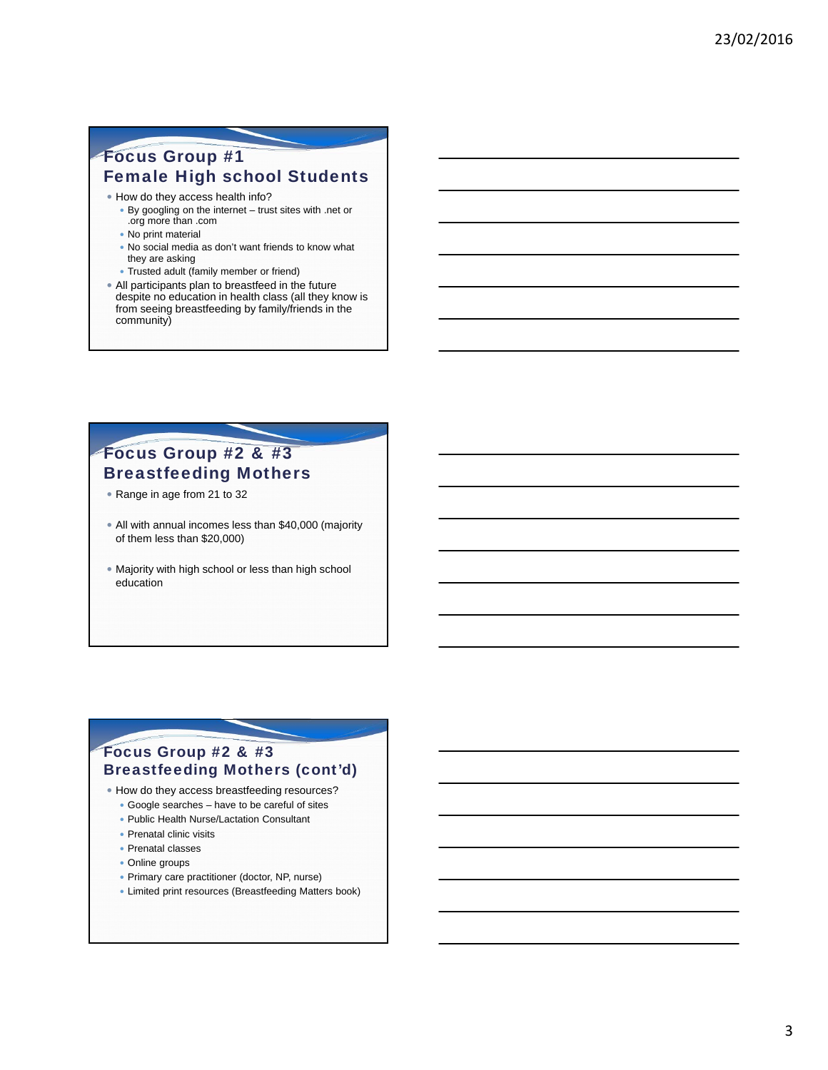## Focus Group #1 Female High school Students

- How do they access health info?
	- By googling on the internet trust sites with .net or .org more than .com
	- No print material
	- No social media as don't want friends to know what they are asking
	- Trusted adult (family member or friend)
- All participants plan to breastfeed in the future despite no education in health class (all they know is from seeing breastfeeding by family/friends in the community)

### Focus Group #2 & #3 Breastfeeding Mothers

- Range in age from 21 to 32
- All with annual incomes less than \$40,000 (majority of them less than \$20,000)
- Majority with high school or less than high school education

#### Focus Group #2 & #3 Breastfeeding Mothers (cont'd)

- How do they access breastfeeding resources?
	- Google searches have to be careful of sites
	- Public Health Nurse/Lactation Consultant
	- Prenatal clinic visits
	- Prenatal classes
	- Online groups
	- Primary care practitioner (doctor, NP, nurse)
	- Limited print resources (Breastfeeding Matters book)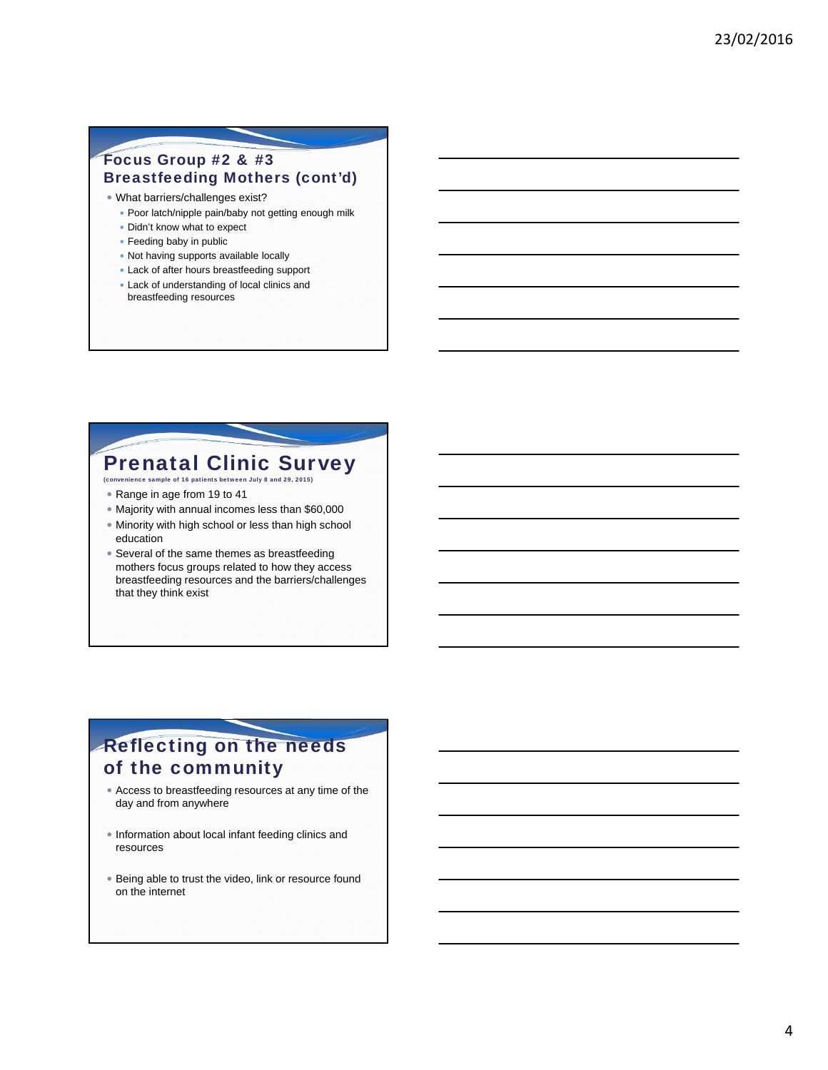### Focus Group #2 & #3 Breastfeeding Mothers (cont'd)

- What barriers/challenges exist?
	- Poor latch/nipple pain/baby not getting enough milk
	- Didn't know what to expect
	- Feeding baby in public
	- Not having supports available locally
	- Lack of after hours breastfeeding support
	- Lack of understanding of local clinics and breastfeeding resources

# Prenatal Clinic Survey<br>(convenience sample of 16 patients between July 8 and 29, 2015)

- Range in age from 19 to 41
- Majority with annual incomes less than \$60,000
- Minority with high school or less than high school education
- Several of the same themes as breastfeeding mothers focus groups related to how they access breastfeeding resources and the barriers/challenges that they think exist

## Reflecting on the needs of the community

- Access to breastfeeding resources at any time of the day and from anywhere
- Information about local infant feeding clinics and resources
- Being able to trust the video, link or resource found on the internet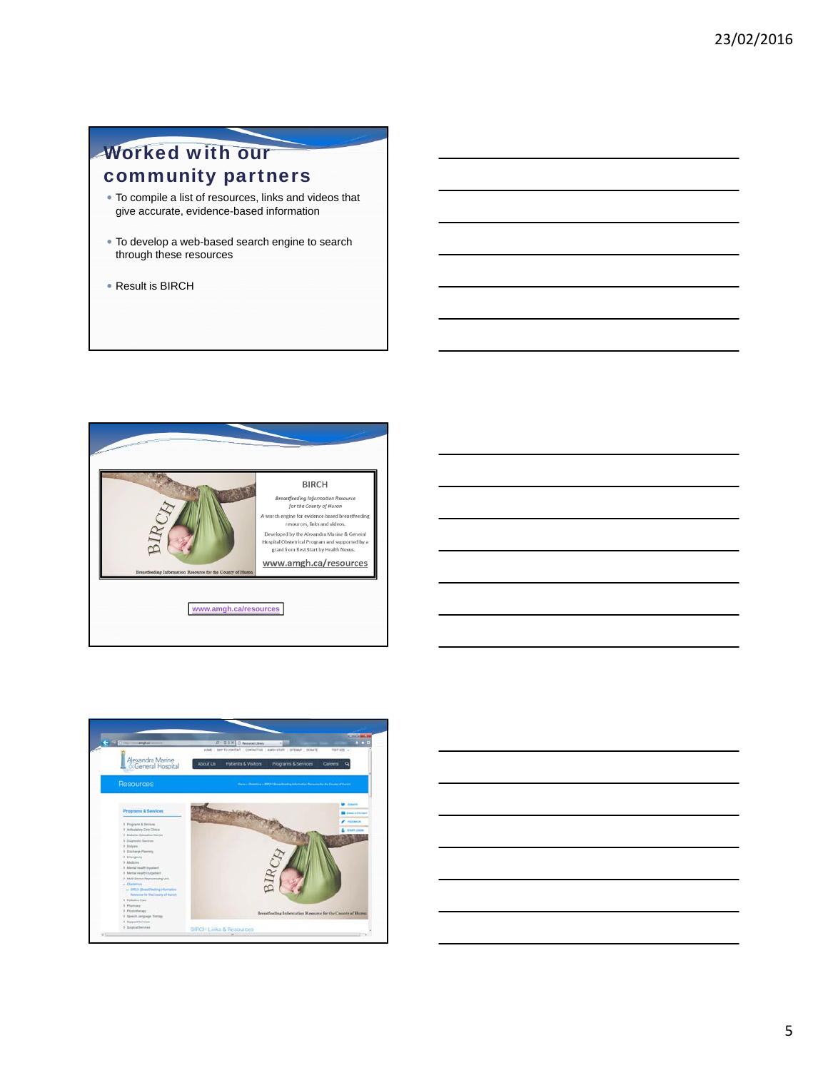# Worked with our community partners

- To compile a list of resources, links and videos that give accurate, evidence-based information
- To develop a web-based search engine to search through these resources
- Result is BIRCH







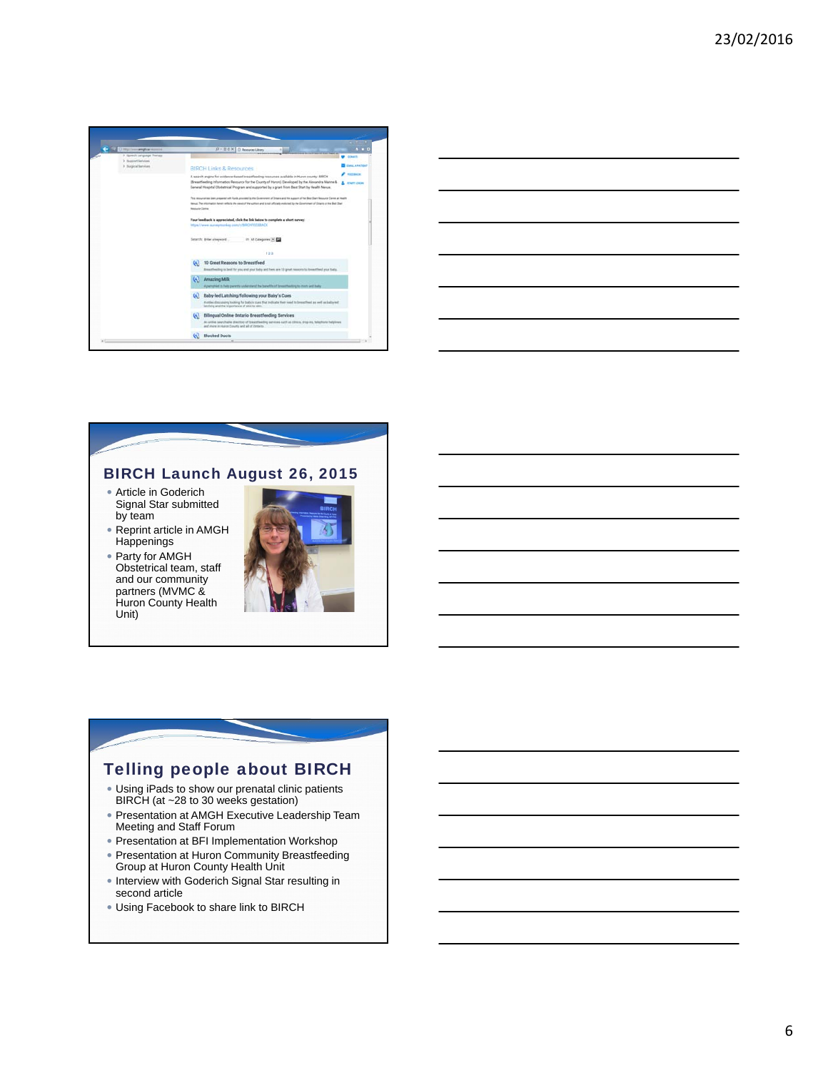

|                                                            |  | <u> 1989 - Andrea Stadt Britain, amerikansk politik (* 1989)</u>    |  |
|------------------------------------------------------------|--|---------------------------------------------------------------------|--|
| <u> 1989 - Johann Stein, mars an de Brasilia (b. 1989)</u> |  |                                                                     |  |
|                                                            |  |                                                                     |  |
|                                                            |  |                                                                     |  |
|                                                            |  | $\overline{\phantom{a}}$ . The contract of $\overline{\phantom{a}}$ |  |
|                                                            |  |                                                                     |  |
| <u> 1980 - Johann Barn, amerikansk politiker (d. 1980)</u> |  |                                                                     |  |
|                                                            |  |                                                                     |  |

### BIRCH Launch August 26, 2015

- Article in Goderich Signal Star submitted by team
- Reprint article in AMGH **Happenings**
- Party for AMGH Obstetrical team, staff and our community partners (MVMC & Huron County Health Unit)



### Telling people about BIRCH

- Using iPads to show our prenatal clinic patients BIRCH (at ~28 to 30 weeks gestation)
- Presentation at AMGH Executive Leadership Team Meeting and Staff Forum
- Presentation at BFI Implementation Workshop
- Presentation at Huron Community Breastfeeding Group at Huron County Health Unit
- Interview with Goderich Signal Star resulting in second article
- Using Facebook to share link to BIRCH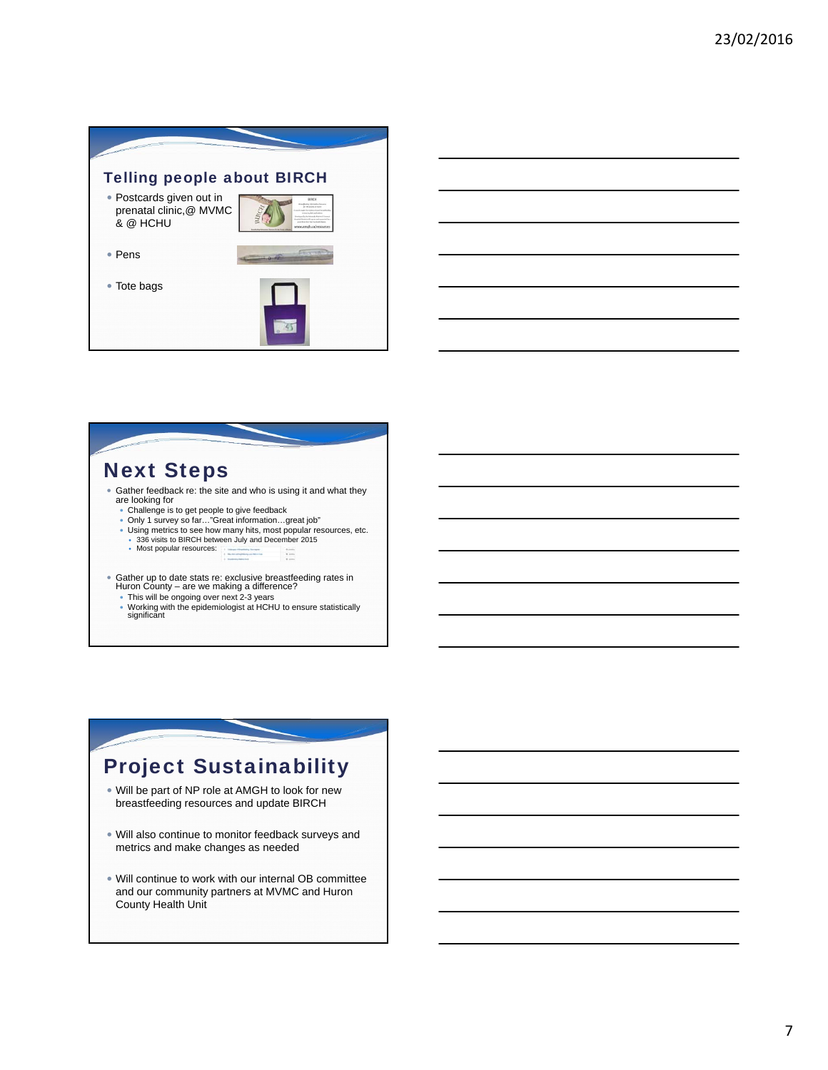



## Next Steps

- Gather feedback re: the site and who is using it and what they are looking for
	- Challenge is to get people to give feedback
	- Only 1 survey so far…"Great information…great job"
	- Using metrics to see how many hits, most popular resources, etc.<br>336 visits to BIRCH between July and December 2015<br>Most popular resources:
	-
	-
- Gather up to date stats re: exclusive breastfeeding rates in
	-
	- Huron County are we making a difference? This will be ongoing over next 2-3 years Working with the epidemiologist at HCHU to ensure statistically significant

# Project Sustainability

- Will be part of NP role at AMGH to look for new breastfeeding resources and update BIRCH
- Will also continue to monitor feedback surveys and metrics and make changes as needed
- Will continue to work with our internal OB committee and our community partners at MVMC and Huron County Health Unit